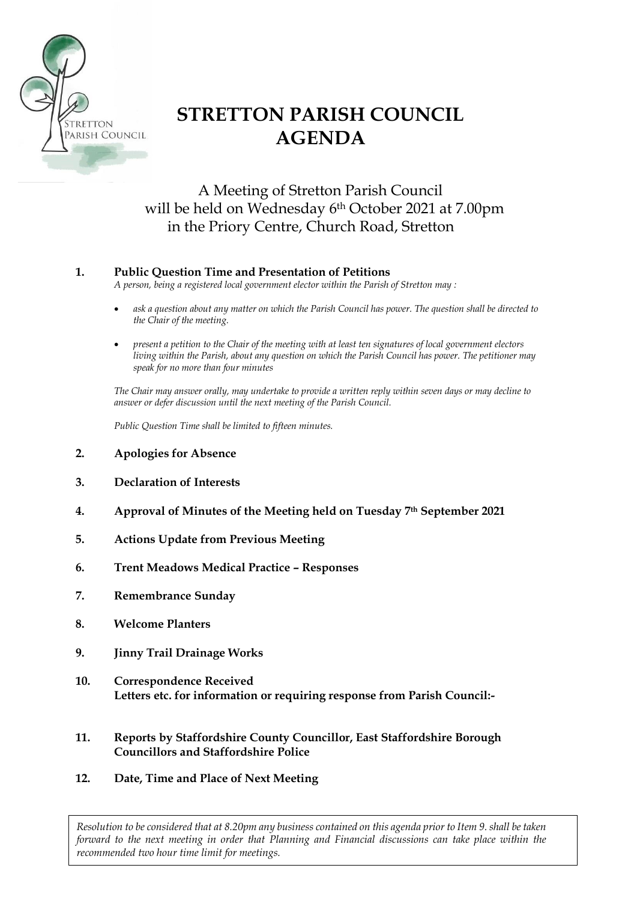

# **STRETTON PARISH COUNCIL AGENDA**

## A Meeting of Stretton Parish Council will be held on Wednesday 6th October 2021 at 7.00pm in the Priory Centre, Church Road, Stretton

### **1. Public Question Time and Presentation of Petitions**

*A person, being a registered local government elector within the Parish of Stretton may :*

- *ask a question about any matter on which the Parish Council has power. The question shall be directed to the Chair of the meeting.*
- *present a petition to the Chair of the meeting with at least ten signatures of local government electors living within the Parish, about any question on which the Parish Council has power. The petitioner may speak for no more than four minutes*

*The Chair may answer orally, may undertake to provide a written reply within seven days or may decline to answer or defer discussion until the next meeting of the Parish Council.*

*Public Question Time shall be limited to fifteen minutes.*

- **2. Apologies for Absence**
- **3. Declaration of Interests**
- **4. Approval of Minutes of the Meeting held on Tuesday 7th September 2021**
- **5. Actions Update from Previous Meeting**
- **6. Trent Meadows Medical Practice – Responses**
- **7. Remembrance Sunday**
- **8. Welcome Planters**
- **9. Jinny Trail Drainage Works**
- **10. Correspondence Received Letters etc. for information or requiring response from Parish Council:-**
- **11. Reports by Staffordshire County Councillor, East Staffordshire Borough Councillors and Staffordshire Police**
- **12. Date, Time and Place of Next Meeting**

*Resolution to be considered that at 8.20pm any business contained on this agenda prior to Item 9. shall be taken forward to the next meeting in order that Planning and Financial discussions can take place within the recommended two hour time limit for meetings.*